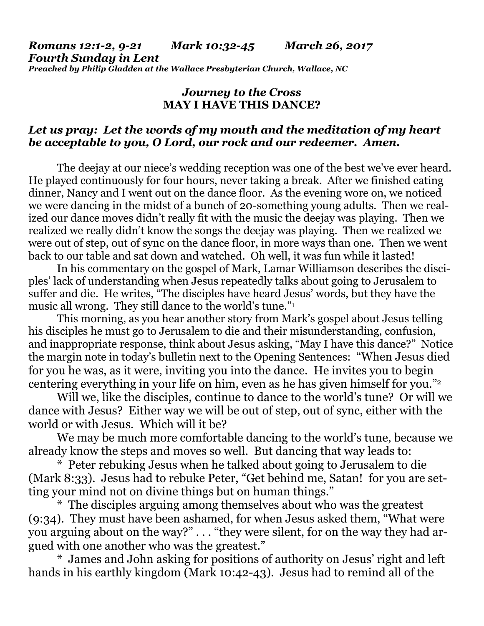*Romans 12:1-2, 9-21 Mark 10:32-45 March 26, 2017 Fourth Sunday in Lent Preached by Philip Gladden at the Wallace Presbyterian Church, Wallace, NC*

## *Journey to the Cross* **MAY I HAVE THIS DANCE?**

## *Let us pray: Let the words of my mouth and the meditation of my heart be acceptable to you, O Lord, our rock and our redeemer. Amen.*

The deejay at our niece's wedding reception was one of the best we've ever heard. He played continuously for four hours, never taking a break. After we finished eating dinner, Nancy and I went out on the dance floor. As the evening wore on, we noticed we were dancing in the midst of a bunch of 20-something young adults. Then we realized our dance moves didn't really fit with the music the deejay was playing. Then we realized we really didn't know the songs the deejay was playing. Then we realized we were out of step, out of sync on the dance floor, in more ways than one. Then we went back to our table and sat down and watched. Oh well, it was fun while it lasted!

In his commentary on the gospel of Mark, Lamar Williamson describes the disciples' lack of understanding when Jesus repeatedly talks about going to Jerusalem to suffer and die. He writes, "The disciples have heard Jesus' words, but they have the music all wrong. They still dance to the world's tune."<sup>1</sup>

This morning, as you hear another story from Mark's gospel about Jesus telling his disciples he must go to Jerusalem to die and their misunderstanding, confusion, and inappropriate response, think about Jesus asking, "May I have this dance?" Notice the margin note in today's bulletin next to the Opening Sentences: "When Jesus died for you he was, as it were, inviting you into the dance. He invites you to begin centering everything in your life on him, even as he has given himself for you."<sup>2</sup>

Will we, like the disciples, continue to dance to the world's tune? Or will we dance with Jesus? Either way we will be out of step, out of sync, either with the world or with Jesus. Which will it be?

We may be much more comfortable dancing to the world's tune, because we already know the steps and moves so well. But dancing that way leads to:

\* Peter rebuking Jesus when he talked about going to Jerusalem to die (Mark 8:33). Jesus had to rebuke Peter, "Get behind me, Satan! for you are setting your mind not on divine things but on human things."

\* The disciples arguing among themselves about who was the greatest (9:34). They must have been ashamed, for when Jesus asked them, "What were you arguing about on the way?" . . . "they were silent, for on the way they had argued with one another who was the greatest."

\* James and John asking for positions of authority on Jesus' right and left hands in his earthly kingdom (Mark 10:42-43). Jesus had to remind all of the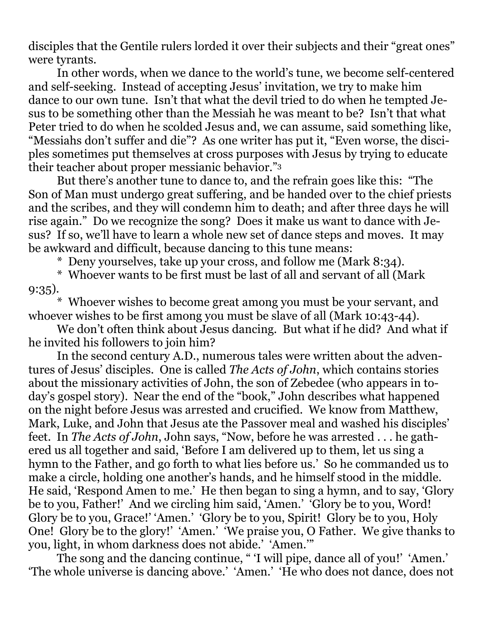disciples that the Gentile rulers lorded it over their subjects and their "great ones" were tyrants.

In other words, when we dance to the world's tune, we become self-centered and self-seeking. Instead of accepting Jesus' invitation, we try to make him dance to our own tune. Isn't that what the devil tried to do when he tempted Jesus to be something other than the Messiah he was meant to be? Isn't that what Peter tried to do when he scolded Jesus and, we can assume, said something like, "Messiahs don't suffer and die"? As one writer has put it, "Even worse, the disciples sometimes put themselves at cross purposes with Jesus by trying to educate their teacher about proper messianic behavior."<sup>3</sup>

But there's another tune to dance to, and the refrain goes like this: "The Son of Man must undergo great suffering, and be handed over to the chief priests and the scribes, and they will condemn him to death; and after three days he will rise again." Do we recognize the song? Does it make us want to dance with Jesus? If so, we'll have to learn a whole new set of dance steps and moves. It may be awkward and difficult, because dancing to this tune means:

\* Deny yourselves, take up your cross, and follow me (Mark 8:34).

\* Whoever wants to be first must be last of all and servant of all (Mark 9:35).

\* Whoever wishes to become great among you must be your servant, and whoever wishes to be first among you must be slave of all (Mark 10:43-44).

We don't often think about Jesus dancing. But what if he did? And what if he invited his followers to join him?

In the second century A.D., numerous tales were written about the adventures of Jesus' disciples. One is called *The Acts of John*, which contains stories about the missionary activities of John, the son of Zebedee (who appears in today's gospel story). Near the end of the "book," John describes what happened on the night before Jesus was arrested and crucified. We know from Matthew, Mark, Luke, and John that Jesus ate the Passover meal and washed his disciples' feet. In *The Acts of John*, John says, "Now, before he was arrested . . . he gathered us all together and said, 'Before I am delivered up to them, let us sing a hymn to the Father, and go forth to what lies before us.' So he commanded us to make a circle, holding one another's hands, and he himself stood in the middle. He said, 'Respond Amen to me.' He then began to sing a hymn, and to say, 'Glory be to you, Father!' And we circling him said, 'Amen.' 'Glory be to you, Word! Glory be to you, Grace!' 'Amen.' 'Glory be to you, Spirit! Glory be to you, Holy One! Glory be to the glory!' 'Amen.' 'We praise you, O Father. We give thanks to you, light, in whom darkness does not abide.' 'Amen.'"

The song and the dancing continue, " 'I will pipe, dance all of you!' 'Amen.' 'The whole universe is dancing above.' 'Amen.' 'He who does not dance, does not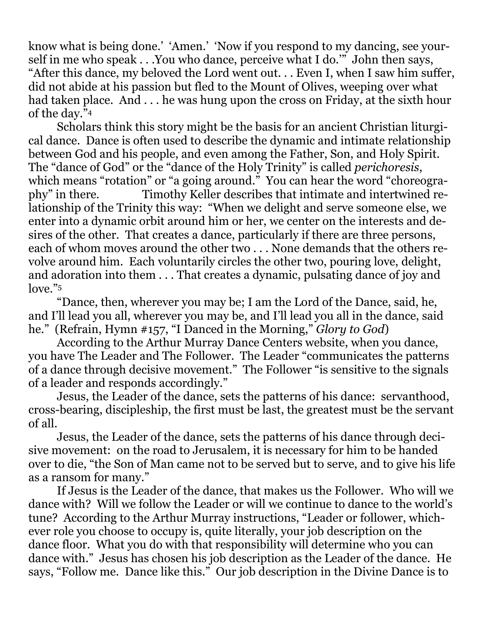know what is being done.' 'Amen.' 'Now if you respond to my dancing, see yourself in me who speak . . .You who dance, perceive what I do.'" John then says, "After this dance, my beloved the Lord went out. . . Even I, when I saw him suffer, did not abide at his passion but fled to the Mount of Olives, weeping over what had taken place. And . . . he was hung upon the cross on Friday, at the sixth hour of the day."<sup>4</sup>

Scholars think this story might be the basis for an ancient Christian liturgical dance. Dance is often used to describe the dynamic and intimate relationship between God and his people, and even among the Father, Son, and Holy Spirit. The "dance of God" or the "dance of the Holy Trinity" is called *perichoresis*, which means "rotation" or "a going around." You can hear the word "choreography" in there. Timothy Keller describes that intimate and intertwined relationship of the Trinity this way: "When we delight and serve someone else, we enter into a dynamic orbit around him or her, we center on the interests and desires of the other. That creates a dance, particularly if there are three persons, each of whom moves around the other two . . . None demands that the others revolve around him. Each voluntarily circles the other two, pouring love, delight, and adoration into them . . . That creates a dynamic, pulsating dance of joy and love."<sup>5</sup>

"Dance, then, wherever you may be; I am the Lord of the Dance, said, he, and I'll lead you all, wherever you may be, and I'll lead you all in the dance, said he." (Refrain, Hymn #157, "I Danced in the Morning," *Glory to God*)

According to the Arthur Murray Dance Centers website, when you dance, you have The Leader and The Follower. The Leader "communicates the patterns of a dance through decisive movement." The Follower "is sensitive to the signals of a leader and responds accordingly."

Jesus, the Leader of the dance, sets the patterns of his dance: servanthood, cross-bearing, discipleship, the first must be last, the greatest must be the servant of all.

Jesus, the Leader of the dance, sets the patterns of his dance through decisive movement: on the road to Jerusalem, it is necessary for him to be handed over to die, "the Son of Man came not to be served but to serve, and to give his life as a ransom for many."

If Jesus is the Leader of the dance, that makes us the Follower. Who will we dance with? Will we follow the Leader or will we continue to dance to the world's tune? According to the Arthur Murray instructions, "Leader or follower, whichever role you choose to occupy is, quite literally, your job description on the dance floor. What you do with that responsibility will determine who you can dance with." Jesus has chosen his job description as the Leader of the dance. He says, "Follow me. Dance like this." Our job description in the Divine Dance is to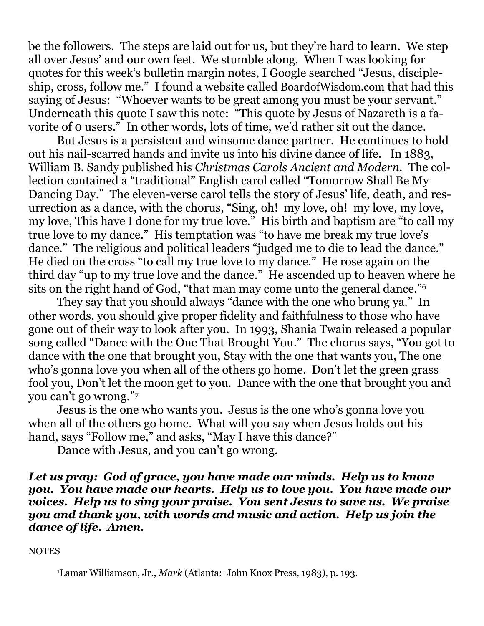be the followers. The steps are laid out for us, but they're hard to learn. We step all over Jesus' and our own feet. We stumble along. When I was looking for quotes for this week's bulletin margin notes, I Google searched "Jesus, discipleship, cross, follow me." I found a website called [BoardofWisdom.com](http://boardofwisdom.com/) that had this saying of Jesus: "Whoever wants to be great among you must be your servant." Underneath this quote I saw this note: "This quote by Jesus of Nazareth is a favorite of 0 users." In other words, lots of time, we'd rather sit out the dance.

But Jesus is a persistent and winsome dance partner. He continues to hold out his nail-scarred hands and invite us into his divine dance of life. In 1883, William B. Sandy published his *Christmas Carols Ancient and Modern.* The collection contained a "traditional" English carol called "Tomorrow Shall Be My Dancing Day." The eleven-verse carol tells the story of Jesus' life, death, and resurrection as a dance, with the chorus, "Sing, oh! my love, oh! my love, my love, my love, This have I done for my true love." His birth and baptism are "to call my true love to my dance." His temptation was "to have me break my true love's dance." The religious and political leaders "judged me to die to lead the dance." He died on the cross "to call my true love to my dance." He rose again on the third day "up to my true love and the dance." He ascended up to heaven where he sits on the right hand of God, "that man may come unto the general dance."<sup>6</sup>

They say that you should always "dance with the one who brung ya." In other words, you should give proper fidelity and faithfulness to those who have gone out of their way to look after you. In 1993, Shania Twain released a popular song called "Dance with the One That Brought You." The chorus says, "You got to dance with the one that brought you, Stay with the one that wants you, The one who's gonna love you when all of the others go home. Don't let the green grass fool you, Don't let the moon get to you. Dance with the one that brought you and you can't go wrong."<sup>7</sup>

Jesus is the one who wants you. Jesus is the one who's gonna love you when all of the others go home. What will you say when Jesus holds out his hand, says "Follow me," and asks, "May I have this dance?"

Dance with Jesus, and you can't go wrong.

*Let us pray: God of grace, you have made our minds. Help us to know you. You have made our hearts. Help us to love you. You have made our voices. Help us to sing your praise. You sent Jesus to save us. We praise you and thank you, with words and music and action. Help us join the dance of life. Amen.*

## **NOTES**

<sup>1</sup>Lamar Williamson, Jr., *Mark* (Atlanta: John Knox Press, 1983), p. 193.